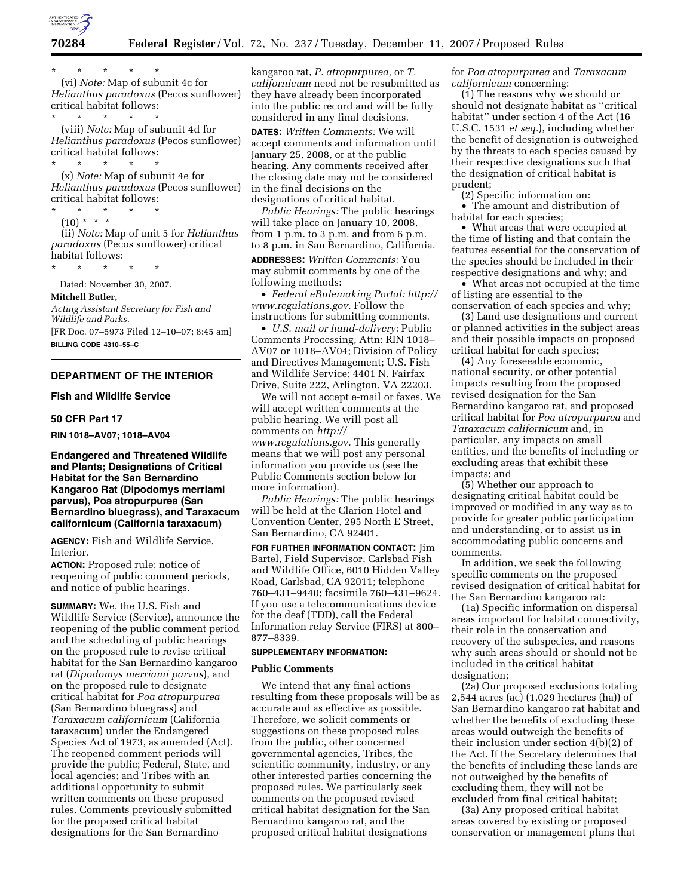

\* \* \* \* \* (vi) *Note:* Map of subunit 4c for *Helianthus paradoxus* (Pecos sunflower) critical habitat follows:

\* \* \* \* \* (viii) *Note:* Map of subunit 4d for *Helianthus paradoxus* (Pecos sunflower) critical habitat follows:

\* \* \* \* \* (x) *Note:* Map of subunit 4e for *Helianthus paradoxus* (Pecos sunflower) critical habitat follows:

\* \* \* \* \*  $(10) * * * *$ (ii) *Note:* Map of unit 5 for *Helianthus* 

*paradoxus* (Pecos sunflower) critical habitat follows:

\* \* \* \* \*

Dated: November 30, 2007. **Mitchell Butler,** 

# *Acting Assistant Secretary for Fish and*

*Wildlife and Parks.*  [FR Doc. 07–5973 Filed 12–10–07; 8:45 am]

**BILLING CODE 4310–55–C** 

# **DEPARTMENT OF THE INTERIOR**

### **Fish and Wildlife Service**

# **50 CFR Part 17**

**RIN 1018–AV07; 1018–AV04** 

# **Endangered and Threatened Wildlife and Plants; Designations of Critical Habitat for the San Bernardino Kangaroo Rat (Dipodomys merriami parvus), Poa atropurpurea (San Bernardino bluegrass), and Taraxacum californicum (California taraxacum)**

**AGENCY:** Fish and Wildlife Service, Interior.

**ACTION:** Proposed rule; notice of reopening of public comment periods, and notice of public hearings.

**SUMMARY:** We, the U.S. Fish and Wildlife Service (Service), announce the reopening of the public comment period and the scheduling of public hearings on the proposed rule to revise critical habitat for the San Bernardino kangaroo rat (*Dipodomys merriami parvus*), and on the proposed rule to designate critical habitat for *Poa atropurpurea*  (San Bernardino bluegrass) and *Taraxacum californicum* (California taraxacum) under the Endangered Species Act of 1973, as amended (Act). The reopened comment periods will provide the public; Federal, State, and local agencies; and Tribes with an additional opportunity to submit written comments on these proposed rules. Comments previously submitted for the proposed critical habitat designations for the San Bernardino

kangaroo rat, *P. atropurpurea,* or *T. californicum* need not be resubmitted as they have already been incorporated into the public record and will be fully considered in any final decisions.

**DATES:** *Written Comments:* We will accept comments and information until January 25, 2008, or at the public hearing. Any comments received after the closing date may not be considered in the final decisions on the designations of critical habitat.

*Public Hearings:* The public hearings will take place on January 10, 2008, from 1 p.m. to 3 p.m. and from 6 p.m. to 8 p.m. in San Bernardino, California.

**ADDRESSES:** *Written Comments:* You may submit comments by one of the following methods:

• *Federal eRulemaking Portal: http:// www.regulations.gov.* Follow the instructions for submitting comments.

• *U.S. mail or hand-delivery:* Public Comments Processing, Attn: RIN 1018– AV07 or 1018–AV04; Division of Policy and Directives Management; U.S. Fish and Wildlife Service; 4401 N. Fairfax Drive, Suite 222, Arlington, VA 22203.

We will not accept e-mail or faxes. We will accept written comments at the public hearing. We will post all comments on *http:// www.regulations.gov.* This generally means that we will post any personal information you provide us (see the Public Comments section below for more information).

*Public Hearings:* The public hearings will be held at the Clarion Hotel and Convention Center, 295 North E Street, San Bernardino, CA 92401.

**FOR FURTHER INFORMATION CONTACT:** Jim Bartel, Field Supervisor, Carlsbad Fish and Wildlife Office, 6010 Hidden Valley Road, Carlsbad, CA 92011; telephone 760–431–9440; facsimile 760–431–9624. If you use a telecommunications device for the deaf (TDD), call the Federal Information relay Service (FIRS) at 800– 877–8339.

### **SUPPLEMENTARY INFORMATION:**

#### **Public Comments**

We intend that any final actions resulting from these proposals will be as accurate and as effective as possible. Therefore, we solicit comments or suggestions on these proposed rules from the public, other concerned governmental agencies, Tribes, the scientific community, industry, or any other interested parties concerning the proposed rules. We particularly seek comments on the proposed revised critical habitat designation for the San Bernardino kangaroo rat, and the proposed critical habitat designations

for *Poa atropurpurea* and *Taraxacum californicum* concerning:

(1) The reasons why we should or should not designate habitat as ''critical habitat'' under section 4 of the Act (16 U.S.C. 1531 *et seq.*), including whether the benefit of designation is outweighed by the threats to each species caused by their respective designations such that the designation of critical habitat is prudent;

(2) Specific information on: • The amount and distribution of

habitat for each species;

• What areas that were occupied at the time of listing and that contain the features essential for the conservation of the species should be included in their respective designations and why; and

• What areas not occupied at the time of listing are essential to the conservation of each species and why;

(3) Land use designations and current or planned activities in the subject areas and their possible impacts on proposed critical habitat for each species;

(4) Any foreseeable economic, national security, or other potential impacts resulting from the proposed revised designation for the San Bernardino kangaroo rat, and proposed critical habitat for *Poa atropurpurea* and *Taraxacum californicum* and, in particular, any impacts on small entities, and the benefits of including or excluding areas that exhibit these impacts; and

(5) Whether our approach to designating critical habitat could be improved or modified in any way as to provide for greater public participation and understanding, or to assist us in accommodating public concerns and comments.

In addition, we seek the following specific comments on the proposed revised designation of critical habitat for the San Bernardino kangaroo rat:

(1a) Specific information on dispersal areas important for habitat connectivity, their role in the conservation and recovery of the subspecies, and reasons why such areas should or should not be included in the critical habitat designation;

(2a) Our proposed exclusions totaling 2,544 acres (ac) (1,029 hectares (ha)) of San Bernardino kangaroo rat habitat and whether the benefits of excluding these areas would outweigh the benefits of their inclusion under section 4(b)(2) of the Act. If the Secretary determines that the benefits of including these lands are not outweighed by the benefits of excluding them, they will not be excluded from final critical habitat;

(3a) Any proposed critical habitat areas covered by existing or proposed conservation or management plans that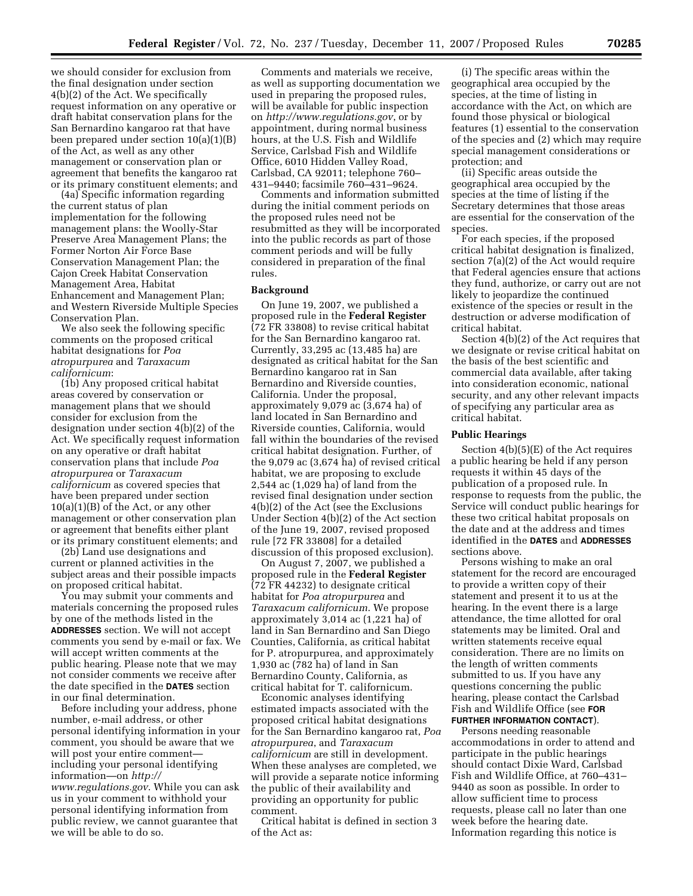we should consider for exclusion from the final designation under section 4(b)(2) of the Act. We specifically request information on any operative or draft habitat conservation plans for the San Bernardino kangaroo rat that have been prepared under section 10(a)(1)(B) of the Act, as well as any other management or conservation plan or agreement that benefits the kangaroo rat or its primary constituent elements; and

(4a) Specific information regarding the current status of plan implementation for the following management plans: the Woolly-Star Preserve Area Management Plans; the Former Norton Air Force Base Conservation Management Plan; the Cajon Creek Habitat Conservation Management Area, Habitat Enhancement and Management Plan; and Western Riverside Multiple Species Conservation Plan.

We also seek the following specific comments on the proposed critical habitat designations for *Poa atropurpurea* and *Taraxacum californicum*:

(1b) Any proposed critical habitat areas covered by conservation or management plans that we should consider for exclusion from the designation under section 4(b)(2) of the Act. We specifically request information on any operative or draft habitat conservation plans that include *Poa atropurpurea* or *Taraxacum californicum* as covered species that have been prepared under section  $10(a)(1)(B)$  of the Act, or any other management or other conservation plan or agreement that benefits either plant or its primary constituent elements; and

(2b) Land use designations and current or planned activities in the subject areas and their possible impacts on proposed critical habitat.

You may submit your comments and materials concerning the proposed rules by one of the methods listed in the **ADDRESSES** section. We will not accept comments you send by e-mail or fax. We will accept written comments at the public hearing. Please note that we may not consider comments we receive after the date specified in the **DATES** section in our final determination.

Before including your address, phone number, e-mail address, or other personal identifying information in your comment, you should be aware that we will post your entire comment including your personal identifying information—on *http:// www.regulations.gov*. While you can ask us in your comment to withhold your personal identifying information from public review, we cannot guarantee that we will be able to do so.

Comments and materials we receive, as well as supporting documentation we used in preparing the proposed rules, will be available for public inspection on *http://www.regulations.gov*, or by appointment, during normal business hours, at the U.S. Fish and Wildlife Service, Carlsbad Fish and Wildlife Office, 6010 Hidden Valley Road, Carlsbad, CA 92011; telephone 760– 431–9440; facsimile 760–431–9624.

Comments and information submitted during the initial comment periods on the proposed rules need not be resubmitted as they will be incorporated into the public records as part of those comment periods and will be fully considered in preparation of the final rules.

#### **Background**

On June 19, 2007, we published a proposed rule in the **Federal Register**  (72 FR 33808) to revise critical habitat for the San Bernardino kangaroo rat. Currently, 33,295 ac (13,485 ha) are designated as critical habitat for the San Bernardino kangaroo rat in San Bernardino and Riverside counties, California. Under the proposal, approximately 9,079 ac (3,674 ha) of land located in San Bernardino and Riverside counties, California, would fall within the boundaries of the revised critical habitat designation. Further, of the 9,079 ac (3,674 ha) of revised critical habitat, we are proposing to exclude 2,544 ac (1,029 ha) of land from the revised final designation under section 4(b)(2) of the Act (see the Exclusions Under Section 4(b)(2) of the Act section of the June 19, 2007, revised proposed rule [72 FR 33808] for a detailed discussion of this proposed exclusion).

On August 7, 2007, we published a proposed rule in the **Federal Register**  (72 FR 44232) to designate critical habitat for *Poa atropurpurea* and *Taraxacum californicum*. We propose approximately 3,014 ac (1,221 ha) of land in San Bernardino and San Diego Counties, California, as critical habitat for P. atropurpurea, and approximately 1,930 ac (782 ha) of land in San Bernardino County, California, as critical habitat for T. californicum.

Economic analyses identifying estimated impacts associated with the proposed critical habitat designations for the San Bernardino kangaroo rat, *Poa atropurpurea*, and *Taraxacum californicum* are still in development. When these analyses are completed, we will provide a separate notice informing the public of their availability and providing an opportunity for public comment.

Critical habitat is defined in section 3 of the Act as:

(i) The specific areas within the geographical area occupied by the species, at the time of listing in accordance with the Act, on which are found those physical or biological features (1) essential to the conservation of the species and (2) which may require special management considerations or protection; and

(ii) Specific areas outside the geographical area occupied by the species at the time of listing if the Secretary determines that those areas are essential for the conservation of the species.

For each species, if the proposed critical habitat designation is finalized, section 7(a)(2) of the Act would require that Federal agencies ensure that actions they fund, authorize, or carry out are not likely to jeopardize the continued existence of the species or result in the destruction or adverse modification of critical habitat.

Section 4(b)(2) of the Act requires that we designate or revise critical habitat on the basis of the best scientific and commercial data available, after taking into consideration economic, national security, and any other relevant impacts of specifying any particular area as critical habitat.

#### **Public Hearings**

Section 4(b)(5)(E) of the Act requires a public hearing be held if any person requests it within 45 days of the publication of a proposed rule. In response to requests from the public, the Service will conduct public hearings for these two critical habitat proposals on the date and at the address and times identified in the **DATES** and **ADDRESSES** sections above.

Persons wishing to make an oral statement for the record are encouraged to provide a written copy of their statement and present it to us at the hearing. In the event there is a large attendance, the time allotted for oral statements may be limited. Oral and written statements receive equal consideration. There are no limits on the length of written comments submitted to us. If you have any questions concerning the public hearing, please contact the Carlsbad Fish and Wildlife Office (see **FOR FURTHER INFORMATION CONTACT**).

Persons needing reasonable accommodations in order to attend and participate in the public hearings should contact Dixie Ward, Carlsbad Fish and Wildlife Office, at 760–431– 9440 as soon as possible. In order to allow sufficient time to process requests, please call no later than one week before the hearing date. Information regarding this notice is